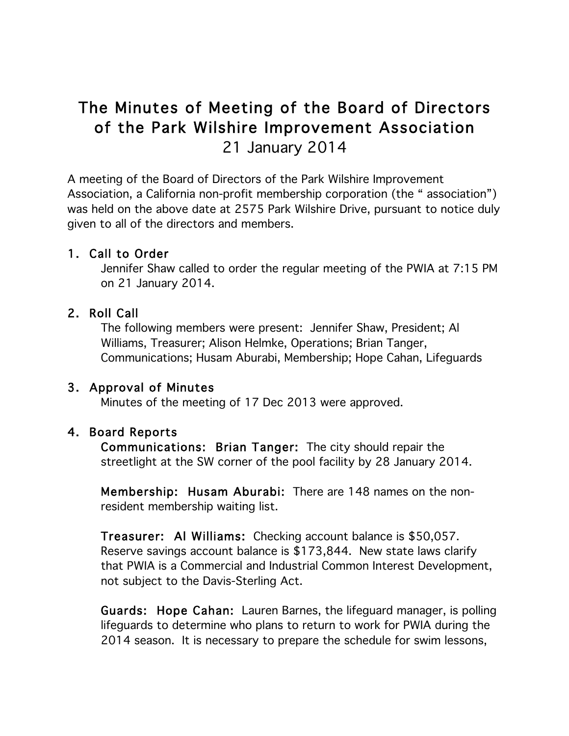# The Minutes of Meeting of the Board of Directors of the Park Wilshire Improvement Association 21 January 2014

A meeting of the Board of Directors of the Park Wilshire Improvement Association, a California non-profit membership corporation (the " association") was held on the above date at 2575 Park Wilshire Drive, pursuant to notice duly given to all of the directors and members.

# 1. Call to Order

Jennifer Shaw called to order the regular meeting of the PWIA at 7:15 PM on 21 January 2014.

# 2. Roll Call

The following members were present: Jennifer Shaw, President; Al Williams, Treasurer; Alison Helmke, Operations; Brian Tanger, Communications; Husam Aburabi, Membership; Hope Cahan, Lifeguards

### 3. Approval of Minutes

Minutes of the meeting of 17 Dec 2013 were approved.

### 4. Board Reports

Communications: Brian Tanger: The city should repair the streetlight at the SW corner of the pool facility by 28 January 2014.

Membership: Husam Aburabi: There are 148 names on the nonresident membership waiting list.

Treasurer: Al Williams: Checking account balance is \$50,057. Reserve savings account balance is \$173,844. New state laws clarify that PWIA is a Commercial and Industrial Common Interest Development, not subject to the Davis-Sterling Act.

Guards: Hope Cahan: Lauren Barnes, the lifeguard manager, is polling lifeguards to determine who plans to return to work for PWIA during the 2014 season. It is necessary to prepare the schedule for swim lessons,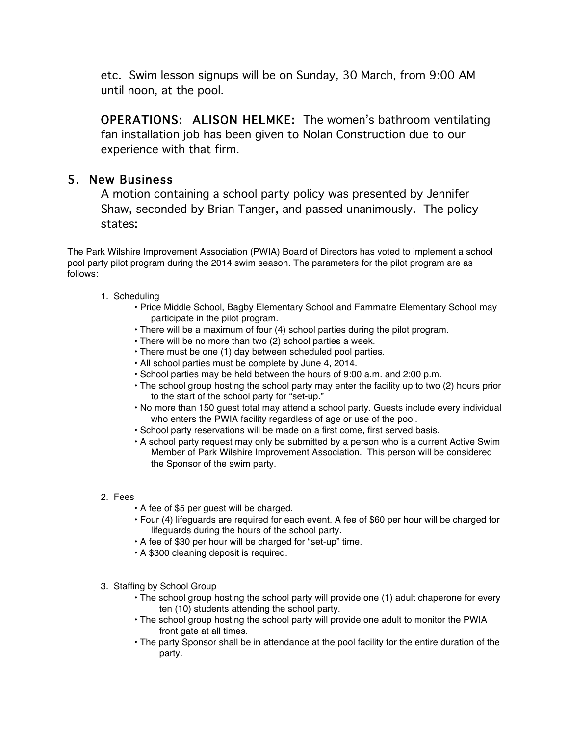etc. Swim lesson signups will be on Sunday, 30 March, from 9:00 AM until noon, at the pool.

OPERATIONS: ALISON HELMKE: The women's bathroom ventilating fan installation job has been given to Nolan Construction due to our experience with that firm.

# 5. New Business

A motion containing a school party policy was presented by Jennifer Shaw, seconded by Brian Tanger, and passed unanimously. The policy states:

The Park Wilshire Improvement Association (PWIA) Board of Directors has voted to implement a school pool party pilot program during the 2014 swim season. The parameters for the pilot program are as follows:

- 1. Scheduling
	- Price Middle School, Bagby Elementary School and Fammatre Elementary School may participate in the pilot program.
	- There will be a maximum of four (4) school parties during the pilot program.
	- There will be no more than two (2) school parties a week.
	- There must be one (1) day between scheduled pool parties.
	- All school parties must be complete by June 4, 2014.
	- School parties may be held between the hours of 9:00 a.m. and 2:00 p.m.
	- The school group hosting the school party may enter the facility up to two (2) hours prior to the start of the school party for "set-up."
	- No more than 150 guest total may attend a school party. Guests include every individual who enters the PWIA facility regardless of age or use of the pool.
	- School party reservations will be made on a first come, first served basis.
	- A school party request may only be submitted by a person who is a current Active Swim Member of Park Wilshire Improvement Association. This person will be considered the Sponsor of the swim party.
- 2. Fees
	- A fee of \$5 per guest will be charged.
	- Four (4) lifeguards are required for each event. A fee of \$60 per hour will be charged for lifeguards during the hours of the school party.
	- A fee of \$30 per hour will be charged for "set-up" time.
	- A \$300 cleaning deposit is required.
- 3. Staffing by School Group
	- The school group hosting the school party will provide one (1) adult chaperone for every ten (10) students attending the school party.
	- The school group hosting the school party will provide one adult to monitor the PWIA front gate at all times.
	- The party Sponsor shall be in attendance at the pool facility for the entire duration of the party.